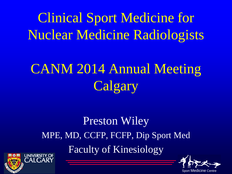Clinical Sport Medicine for Nuclear Medicine Radiologists

# CANM 2014 Annual Meeting Calgary

# Preston Wiley MPE, MD, CCFP, FCFP, Dip Sport Med Faculty of Kinesiology



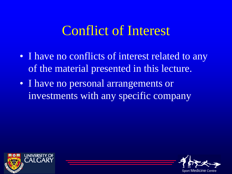## Conflict of Interest

- I have no conflicts of interest related to any of the material presented in this lecture.
- I have no personal arrangements or investments with any specific company



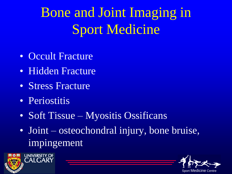Bone and Joint Imaging in Sport Medicine

- Occult Fracture
- Hidden Fracture
- Stress Fracture
- Periostitis
- Soft Tissue Myositis Ossificans
- Joint osteochondral injury, bone bruise, impingement





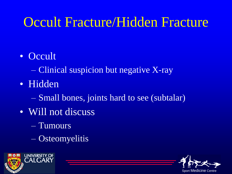# Occult Fracture/Hidden Fracture

• Occult

– Clinical suspicion but negative X-ray

• Hidden

– Small bones, joints hard to see (subtalar)

- Will not discuss
	- Tumours
	- Osteomyelitis



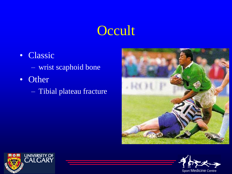# **Occult**

- Classic
	- wrist scaphoid bone
- Other
	- Tibial plateau fracture





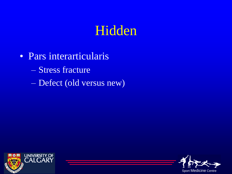## Hidden

- Pars interarticularis
	- Stress fracture
	- Defect (old versus new)



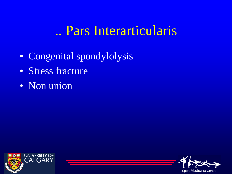- Congenital spondylolysis
- Stress fracture
- Non union



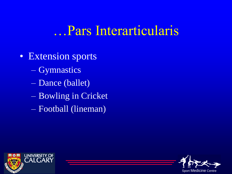- Extension sports
	- Gymnastics
	- Dance (ballet)
	- Bowling in Cricket
	- Football (lineman)



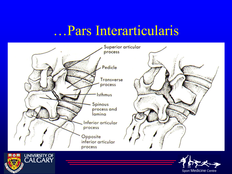



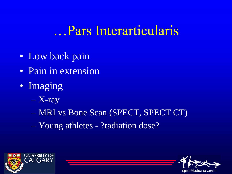- Low back pain
- Pain in extension
- Imaging
	- $-$  X-ray
	- MRI vs Bone Scan (SPECT, SPECT CT)
	- Young athletes ?radiation dose?



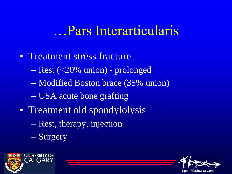- Treatment stress fracture
	- Rest (<20% union) prolonged
	- Modified Boston brace (35% union)
	- USA acute bone grafting
- Treatment old spondylolysis
	- Rest, therapy, injection
	- Surgery



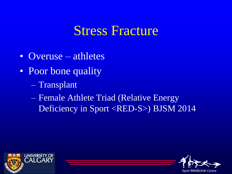- Overuse athletes
- Poor bone quality
	- Transplant
	- Female Athlete Triad (Relative Energy Deficiency in Sport <RED-S>) BJSM 2014



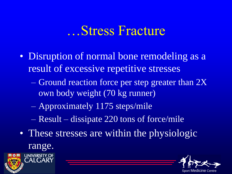- Disruption of normal bone remodeling as a result of excessive repetitive stresses
	- Ground reaction force per step greater than 2X own body weight (70 kg runner)
	- Approximately 1175 steps/mile
	- Result dissipate 220 tons of force/mile
- These stresses are within the physiologic range.





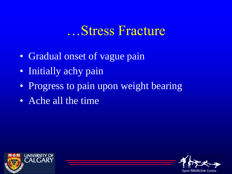- Gradual onset of vague pain
- Initially achy pain
- Progress to pain upon weight bearing
- Ache all the time



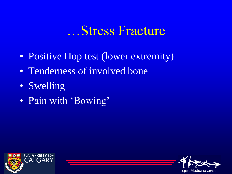- Positive Hop test (lower extremity)
- Tenderness of involved bone
- Swelling
- Pain with 'Bowing'



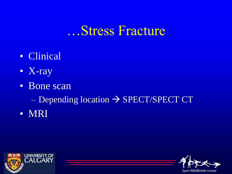- Clinical
- X-ray
- Bone scan
	- $\overline{\phantom{m}}$  Depending location  $\rightarrow$  SPECT/SPECT CT
- MRI



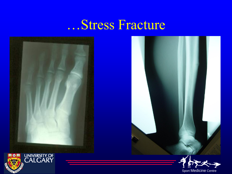



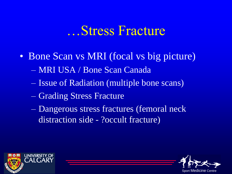- Bone Scan vs MRI (focal vs big picture) – MRI USA / Bone Scan Canada
	- Issue of Radiation (multiple bone scans)
	- Grading Stress Fracture
	- Dangerous stress fractures (femoral neck distraction side - ?occult fracture)



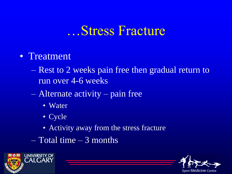#### • Treatment

- Rest to 2 weeks pain free then gradual return to run over 4-6 weeks
- Alternate activity pain free
	- Water
	- Cycle
	- Activity away from the stress fracture
- Total time 3 months



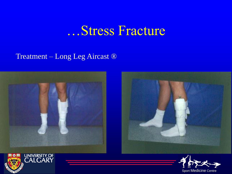#### Treatment – Long Leg Aircast ®







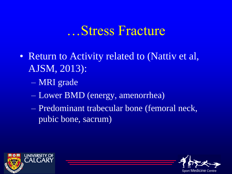- Return to Activity related to (Nattiv et al, AJSM, 2013):
	- MRI grade
	- Lower BMD (energy, amenorrhea)
	- Predominant trabecular bone (femoral neck, pubic bone, sacrum)



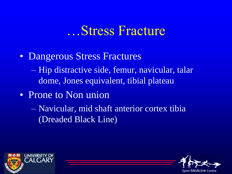- Dangerous Stress Fractures – Hip distractive side, femur, navicular, talar dome, Jones equivalent, tibial plateau
- Prone to Non union
	- Navicular, mid shaft anterior cortex tibia (Dreaded Black Line)



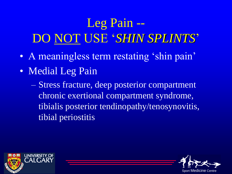# Leg Pain -- DO NOT USE '*SHIN SPLINTS*'

- A meaningless term restating 'shin pain'
- Medial Leg Pain
	- Stress fracture, deep posterior compartment chronic exertional compartment syndrome, tibialis posterior tendinopathy/tenosynovitis, tibial periostitis



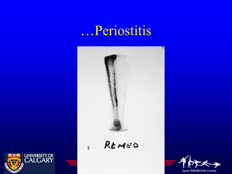# …Periostitis





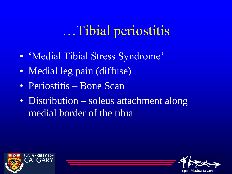# …Tibial periostitis

- 'Medial Tibial Stress Syndrome'
- Medial leg pain (diffuse)
- Periostitis Bone Scan
- Distribution soleus attachment along medial border of the tibia



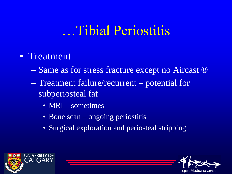# …Tibial Periostitis

- Treatment
	- Same as for stress fracture except no Aircast ®
	- Treatment failure/recurrent potential for subperiosteal fat
		- MRI sometimes
		- Bone scan ongoing periostitis
		- Surgical exploration and periosteal stripping



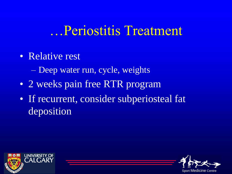## …Periostitis Treatment

• Relative rest

– Deep water run, cycle, weights

- 2 weeks pain free RTR program
- If recurrent, consider subperiosteal fat deposition



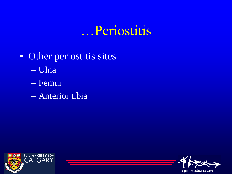# …Periostitis

- Other periostitis sites
	- Ulna
	- Femur
	- Anterior tibia



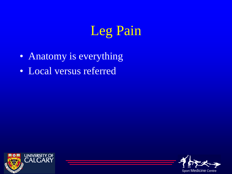# Leg Pain

- Anatomy is everything
- Local versus referred



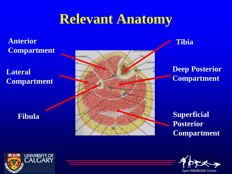# **Relevant Anatomy**

#### **Anterior Compartment**

**Lateral Compartment**

**Fibula**



#### **Tibia**

#### **Deep Posterior Compartment**

**Superficial Posterior Compartment**



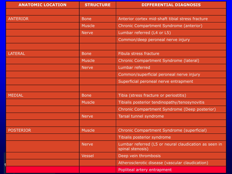| <b>ANATOMIC LOCATION</b> | <b>STRUCTURE</b> | <b>DIFFERENTIAL DIAGNOSIS</b>                                             |
|--------------------------|------------------|---------------------------------------------------------------------------|
|                          |                  |                                                                           |
| <b>ANTERIOR</b>          | <b>Bone</b>      | Anterior cortex mid-shaft tibial stress fracture                          |
|                          | <b>Muscle</b>    | Chronic Compartment Syndrome (anterior)                                   |
|                          | <b>Nerve</b>     | Lumbar referred (L4 or L5)                                                |
|                          |                  | Common/deep peroneal nerve injury                                         |
|                          |                  |                                                                           |
| <b>LATERAL</b>           | <b>Bone</b>      | Fibula stress fracture                                                    |
|                          | <b>Muscle</b>    | Chronic Compartment Syndrome (lateral)                                    |
|                          | <b>Nerve</b>     | Lumbar referred                                                           |
|                          |                  | Common/superficial peroneal nerve injury                                  |
|                          |                  | Superficial peroneal nerve entrapment                                     |
|                          |                  |                                                                           |
| <b>MEDIAL</b>            | <b>Bone</b>      | Tibia (stress fracture or periostitis)                                    |
|                          | <b>Muscle</b>    | Tibialis posterior tendinopathy/tenosynovitis                             |
|                          |                  | Chronic Compartment Syndrome (Deep posterior)                             |
|                          | <b>Nerve</b>     | Tarsal tunnel syndrome                                                    |
|                          |                  |                                                                           |
| <b>POSTERIOR</b>         | <b>Muscle</b>    | Chronic Compartment Syndrome (superficial)                                |
|                          |                  | Tibialis posterior syndrome                                               |
|                          | <b>Nerve</b>     | Lumbar referred (L5 or neural claudication as seen in<br>spinal stenosis) |
|                          | <b>Vessel</b>    | Deep vein thrombosis                                                      |
|                          |                  | Atherosclerotic disease (vascular claudication)                           |
|                          |                  | Popliteal artery entrapment                                               |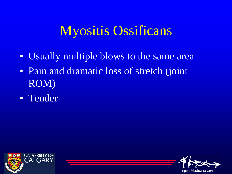# Myositis Ossificans

- Usually multiple blows to the same area
- Pain and dramatic loss of stretch (joint ROM)
- Tender



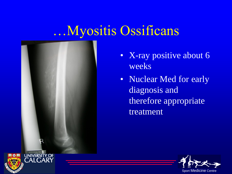## …Myositis Ossificans



- X-ray positive about 6 weeks
- Nuclear Med for early diagnosis and therefore appropriate treatment



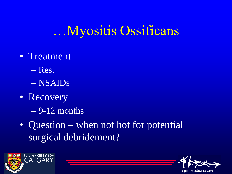…Myositis Ossificans

- Treatment
	- Rest
	- NSAIDs
- Recovery
	- $-9-12$  months
- Question when not hot for potential surgical debridement?



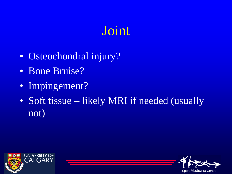# Joint

- Osteochondral injury?
- Bone Bruise?
- Impingement?
- Soft tissue likely MRI if needed (usually not)



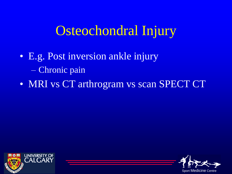# Osteochondral Injury

- E.g. Post inversion ankle injury – Chronic pain
- MRI vs CT arthrogram vs scan SPECT CT



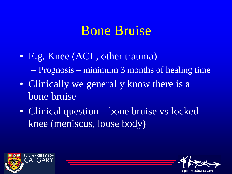## Bone Bruise

- E.g. Knee (ACL, other trauma) – Prognosis – minimum 3 months of healing time
- Clinically we generally know there is a bone bruise
- Clinical question bone bruise vs locked knee (meniscus, loose body)



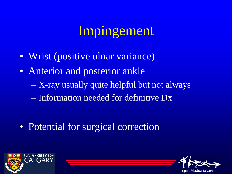# Impingement

- Wrist (positive ulnar variance)
- Anterior and posterior ankle – X-ray usually quite helpful but not always – Information needed for definitive Dx

• Potential for surgical correction